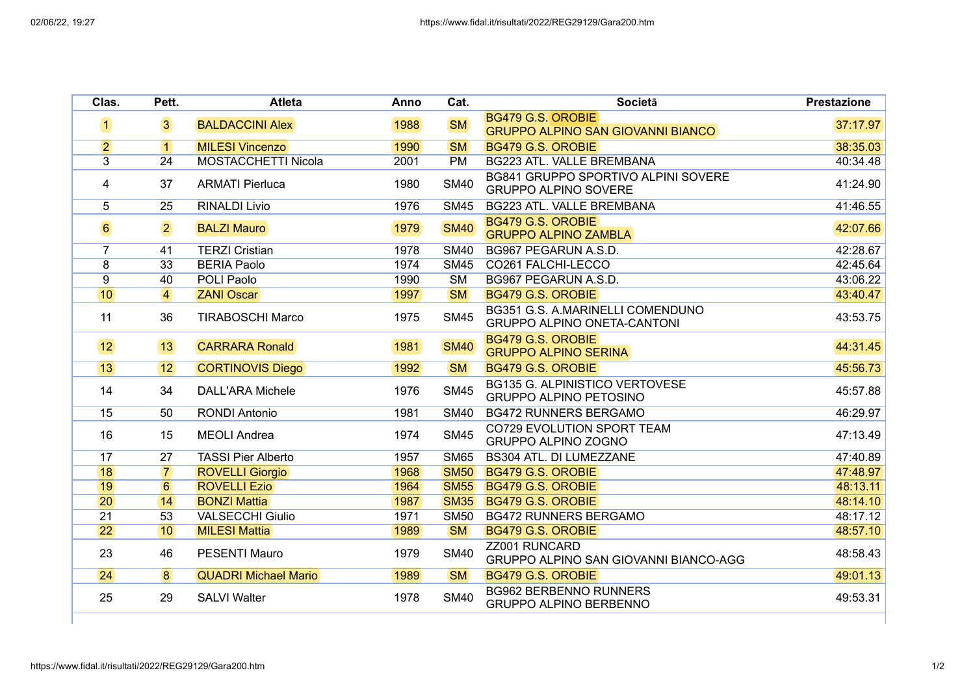| Clas.            | Pett.          | <b>Atleta</b>               | Anno | Cat.                   | <b>Societa</b>                                                         | <b>Prestazione</b> |
|------------------|----------------|-----------------------------|------|------------------------|------------------------------------------------------------------------|--------------------|
| $\vert$ 1        | $\overline{3}$ | <b>BALDACCINI Alex</b>      | 1988 | <b>SM</b>              | BG479 G.S. OROBIE<br><b>GRUPPO ALPINO SAN GIOVANNI BIANCO</b>          | 37:17.97           |
| $\overline{2}$   | $\vert$ 1      | <b>MILESI Vincenzo</b>      | 1990 | <b>SM</b>              | BG479 G.S. OROBIE                                                      | 38:35.03           |
| 3                | 24             | <b>MOSTACCHETTI Nicola</b>  | 2001 | <b>PM</b>              | BG223 ATL. VALLE BREMBANA                                              | 40:34.48           |
| 4                | 37             | <b>ARMATI Pierluca</b>      | 1980 | <b>SM40</b>            | BG841 GRUPPO SPORTIVO ALPINI SOVERE<br><b>GRUPPO ALPINO SOVERE</b>     | 41:24.90           |
| 5                | 25             | <b>RINALDI Livio</b>        | 1976 | <b>SM45</b>            | BG223 ATL. VALLE BREMBANA                                              | 41:46.55           |
| $6 \overline{6}$ | $\overline{2}$ | <b>BALZI Mauro</b>          | 1979 | <b>SM40</b>            | BG479 G.S. OROBIE<br><b>GRUPPO ALPINO ZAMBLA</b>                       | 42:07.66           |
| $\overline{7}$   | 41             | <b>TERZI Cristian</b>       | 1978 | <b>SM40</b>            | BG967 PEGARUN A.S.D.                                                   | 42:28.67           |
| 8                | 33             | <b>BERIA Paolo</b>          | 1974 | <b>SM45</b>            | CO261 FALCHI-LECCO                                                     | 42:45.64           |
| $\overline{9}$   | 40             | POLI Paolo                  | 1990 | <b>SM</b>              | BG967 PEGARUN A.S.D.                                                   | 43:06.22           |
| 10               | $\overline{4}$ | <b>ZANI Oscar</b>           | 1997 | <b>SM</b>              | <b>BG479 G.S. OROBIE</b>                                               | 43:40.47           |
| 11               | 36             | <b>TIRABOSCHI Marco</b>     | 1975 | <b>SM45</b>            | BG351 G.S. A.MARINELLI COMENDUNO<br><b>GRUPPO ALPINO ONETA-CANTONI</b> | 43:53.75           |
| 12               | 13             | <b>CARRARA Ronald</b>       | 1981 | <b>SM40</b>            | BG479 G.S. OROBIE<br><b>GRUPPO ALPINO SERINA</b>                       | 44:31.45           |
| 13               | 12             | <b>CORTINOVIS Diego</b>     | 1992 | <b>SM</b>              | BG479 G.S. OROBIE                                                      | 45:56.73           |
| 14               | 34             | <b>DALL'ARA Michele</b>     | 1976 | <b>SM45</b>            | <b>BG135 G. ALPINISTICO VERTOVESE</b><br><b>GRUPPO ALPINO PETOSINO</b> | 45:57.88           |
| 15               | 50             | <b>RONDI Antonio</b>        | 1981 | <b>SM40</b>            | <b>BG472 RUNNERS BERGAMO</b>                                           | 46:29.97           |
| 16               | 15             | <b>MEOLI</b> Andrea         | 1974 | <b>SM45</b>            | CO729 EVOLUTION SPORT TEAM<br>GRUPPO ALPINO ZOGNO                      | 47:13.49           |
| 17               | 27             | <b>TASSI Pier Alberto</b>   | 1957 | <b>SM65</b>            | <b>BS304 ATL. DI LUMEZZANE</b>                                         | 47:40.89           |
| 18               | $\overline{7}$ | <b>ROVELLI Giorgio</b>      | 1968 | <b>SM50</b>            | <b>BG479 G.S. OROBIE</b>                                               | 47:48.97           |
| 19               | 6              | <b>ROVELLI Ezio</b>         | 1964 | <b>SM55</b>            | <b>BG479 G.S. OROBIE</b>                                               | 48:13.11           |
| 20               | 14             | <b>BONZI Mattia</b>         | 1987 | <b>SM35</b>            | BG479 G.S. OROBIE                                                      | 48:14.10           |
| $\overline{21}$  | 53             | <b>VALSECCHI Giulio</b>     | 1971 | <b>SM50</b>            | <b>BG472 RUNNERS BERGAMO</b>                                           | 48:17.12           |
| $\overline{22}$  | 10             | <b>MILESI Mattia</b>        | 1989 | <b>SM</b>              | <b>BG479 G.S. OROBIE</b>                                               | 48:57.10           |
| 23               | 46             | <b>PESENTI Mauro</b>        | 1979 | <b>SM40</b>            | ZZ001 RUNCARD<br>GRUPPO ALPINO SAN GIOVANNI BIANCO-AGG                 | 48:58.43           |
| $\overline{24}$  | $\overline{8}$ | <b>QUADRI Michael Mario</b> | 1989 | $\overline{\text{SM}}$ | <b>BG479 G.S. OROBIE</b>                                               | 49:01.13           |
| 25               | 29             | <b>SALVI Walter</b>         | 1978 | <b>SM40</b>            | <b>BG962 BERBENNO RUNNERS</b><br><b>GRUPPO ALPINO BERBENNO</b>         | 49:53.31           |
|                  |                |                             |      |                        |                                                                        |                    |